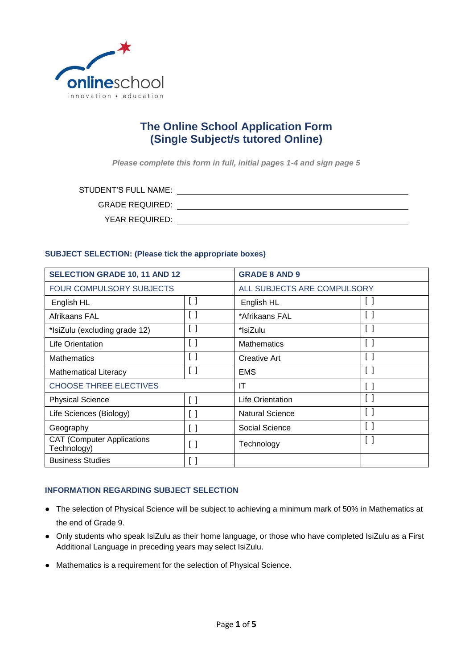

# **The Online School Application Form (Single Subject/s tutored Online)**

*Please complete this form in full, initial pages 1-4 and sign page 5*

STUDENT'S FULL NAME:

GRADE REQUIRED:

YEAR REQUIRED:

# **SUBJECT SELECTION: (Please tick the appropriate boxes)**

| <b>SELECTION GRADE 10, 11 AND 12</b>             |                                 | <b>GRADE 8 AND 9</b>        |                                   |
|--------------------------------------------------|---------------------------------|-----------------------------|-----------------------------------|
| <b>FOUR COMPULSORY SUBJECTS</b>                  |                                 | ALL SUBJECTS ARE COMPULSORY |                                   |
| English HL                                       | $\lceil$ $\rceil$               | English HL                  | $\Box$                            |
| Afrikaans FAL                                    | $\begin{bmatrix} \end{bmatrix}$ | *Afrikaans FAL              | $\begin{bmatrix} 1 \end{bmatrix}$ |
| *IsiZulu (excluding grade 12)                    | $\left[ \quad \right]$          | *IsiZulu                    | $\left[ \quad \right]$            |
| Life Orientation                                 |                                 | <b>Mathematics</b>          | $\Box$                            |
| <b>Mathematics</b>                               |                                 | <b>Creative Art</b>         | $\left[ \ \right]$                |
| <b>Mathematical Literacy</b>                     |                                 | <b>EMS</b>                  | $\Box$                            |
| <b>CHOOSE THREE ELECTIVES</b>                    |                                 | IT                          | $\left[ \ \right]$                |
| <b>Physical Science</b>                          | $\lceil$ $\rceil$               | Life Orientation            |                                   |
| Life Sciences (Biology)                          | $\left[ \ \right]$              | <b>Natural Science</b>      | $\left[ \ \right]$                |
| Geography                                        | $\left[ \quad \right]$          | Social Science              | $\left[ \ \right]$                |
| <b>CAT (Computer Applications</b><br>Technology) | $\left[ \ \right]$              | Technology                  | $\left[ \ \right]$                |
| <b>Business Studies</b>                          |                                 |                             |                                   |

#### **INFORMATION REGARDING SUBJECT SELECTION**

- The selection of Physical Science will be subject to achieving a minimum mark of 50% in Mathematics at the end of Grade 9.
- Only students who speak IsiZulu as their home language, or those who have completed IsiZulu as a First Additional Language in preceding years may select IsiZulu.
- Mathematics is a requirement for the selection of Physical Science.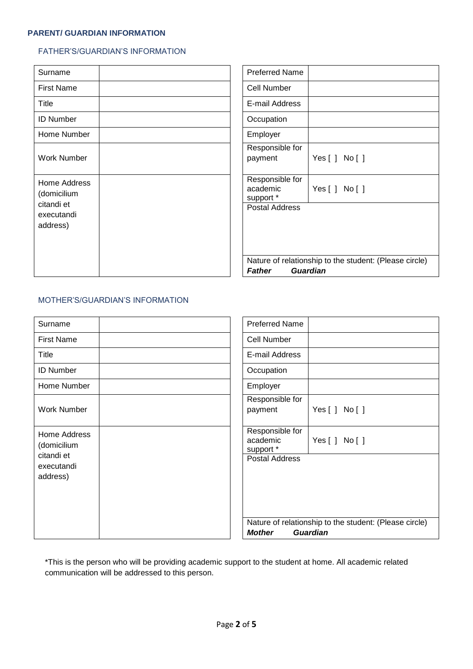# **PARENT/ GUARDIAN INFORMATION**

#### FATHER'S/GUARDIAN'S INFORMATION

| Surname                              | <b>Preferred Name</b>                                  |  |
|--------------------------------------|--------------------------------------------------------|--|
| <b>First Name</b>                    | <b>Cell Number</b>                                     |  |
| Title                                | E-mail Address                                         |  |
| <b>ID Number</b>                     | Occupation                                             |  |
| Home Number                          | Employer                                               |  |
| <b>Work Number</b>                   | Responsible for<br>Yes[] No[]<br>payment               |  |
| Home Address<br>(domicilium          | Responsible for<br>academic<br>Yes[] No[]<br>support * |  |
| citandi et<br>executandi<br>address) | <b>Postal Address</b>                                  |  |
|                                      | Nature of relationship to the student: (Please circle) |  |
|                                      | <b>Guardian</b><br><b>Father</b>                       |  |

# MOTHER'S/GUARDIAN'S INFORMATION

| Surname                              | <b>Preferred Name</b>                                                                      |  |  |
|--------------------------------------|--------------------------------------------------------------------------------------------|--|--|
| <b>First Name</b>                    | <b>Cell Number</b>                                                                         |  |  |
| Title                                | E-mail Address                                                                             |  |  |
| <b>ID Number</b>                     | Occupation                                                                                 |  |  |
| Home Number                          | Employer                                                                                   |  |  |
| <b>Work Number</b>                   | Responsible for<br>payment<br>Yes[] No[]                                                   |  |  |
| Home Address<br>(domicilium          | Responsible for<br>academic<br>Yes[] No[]<br>support *                                     |  |  |
| citandi et<br>executandi<br>address) | <b>Postal Address</b>                                                                      |  |  |
|                                      | Nature of relationship to the student: (Please circle)<br><b>Guardian</b><br><b>Mother</b> |  |  |

\*This is the person who will be providing academic support to the student at home. All academic related communication will be addressed to this person.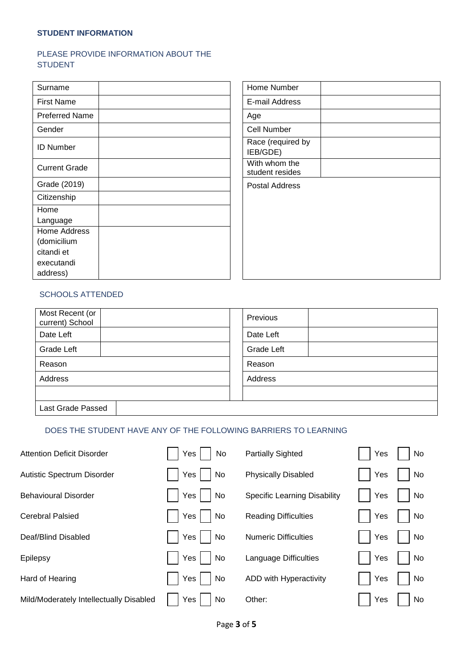#### **STUDENT INFORMATION**

# PLEASE PROVIDE INFORMATION ABOUT THE **STUDENT**

| Surname               |  | Home Number                      |
|-----------------------|--|----------------------------------|
| <b>First Name</b>     |  | E-mail Address                   |
| <b>Preferred Name</b> |  | Age                              |
| Gender                |  | Cell Number                      |
| <b>ID Number</b>      |  | Race (required by<br>IEB/GDE)    |
| <b>Current Grade</b>  |  | With whom the<br>student resides |
| Grade (2019)          |  | Postal Address                   |
| Citizenship           |  |                                  |
| Home                  |  |                                  |
| Language              |  |                                  |
| Home Address          |  |                                  |
| (domicilium           |  |                                  |
| citandi et            |  |                                  |
| executandi            |  |                                  |
| address)              |  |                                  |

| Home Number                      |  |
|----------------------------------|--|
| E-mail Address                   |  |
| Age                              |  |
| Cell Number                      |  |
| Race (required by<br>IEB/GDE)    |  |
| With whom the<br>student resides |  |
| <b>Postal Address</b>            |  |
|                                  |  |

#### SCHOOLS ATTENDED

| Most Recent (or<br>current) School | Previous   |
|------------------------------------|------------|
| Date Left                          | Date Left  |
| Grade Left                         | Grade Left |
| Reason                             | Reason     |
| Address                            | Address    |
|                                    |            |
| Last Grade Passed                  |            |

#### DOES THE STUDENT HAVE ANY OF THE FOLLOWING BARRIERS TO LEARNING

| <b>Attention Deficit Disorder</b>       | Yes  <br>No                   | <b>Partially Sighted</b>            | Yes | No |
|-----------------------------------------|-------------------------------|-------------------------------------|-----|----|
| Autistic Spectrum Disorder              | Yes <sub>l</sub><br><b>No</b> | <b>Physically Disabled</b>          | Yes | No |
| <b>Behavioural Disorder</b>             | Yes  <br><b>No</b>            | <b>Specific Learning Disability</b> | Yes | No |
| <b>Cerebral Palsied</b>                 | Yes<br>N <sub>o</sub>         | <b>Reading Difficulties</b>         | Yes | No |
| Deaf/Blind Disabled                     | Yes<br><b>No</b>              | <b>Numeric Difficulties</b>         | Yes | No |
| Epilepsy                                | Yes<br><b>No</b>              | Language Difficulties               | Yes | No |
| Hard of Hearing                         | Yes  <br><b>No</b>            | ADD with Hyperactivity              | Yes | No |
| Mild/Moderately Intellectually Disabled | Yes  <br>No                   | Other:                              | Yes | No |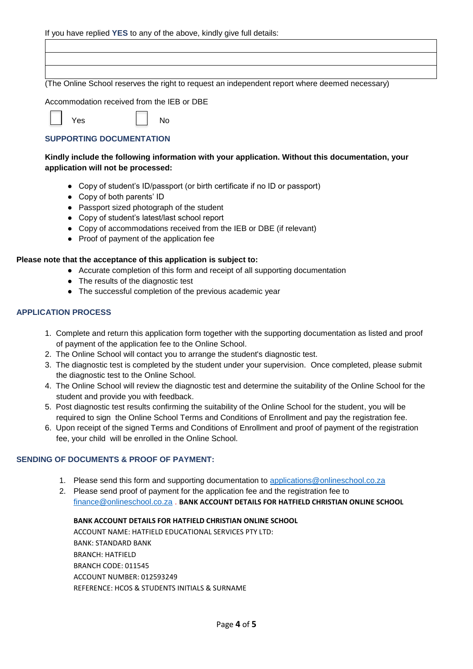# (The Online School reserves the right to request an independent report where deemed necessary)

Accommodation received from the IEB or DBE

Yes No

# **SUPPORTING DOCUMENTATION**

# **Kindly include the following information with your application. Without this documentation, your application will not be processed:**

- Copy of student's ID/passport (or birth certificate if no ID or passport)
- Copy of both parents' ID
- Passport sized photograph of the student
- Copy of student's latest/last school report
- Copy of accommodations received from the IEB or DBE (if relevant)
- Proof of payment of the application fee

# **Please note that the acceptance of this application is subject to:**

- Accurate completion of this form and receipt of all supporting documentation
- The results of the diagnostic test
- The successful completion of the previous academic year

# **APPLICATION PROCESS**

- 1. Complete and return this application form together with the supporting documentation as listed and proof of payment of the application fee to the Online School.
- 2. The Online School will contact you to arrange the student's diagnostic test.
- 3. The diagnostic test is completed by the student under your supervision. Once completed, please submit the diagnostic test to the Online School.
- 4. The Online School will review the diagnostic test and determine the suitability of the Online School for the student and provide you with feedback.
- 5. Post diagnostic test results confirming the suitability of the Online School for the student, you will be required to sign the Online School Terms and Conditions of Enrollment and pay the registration fee.
- 6. Upon receipt of the signed Terms and Conditions of Enrollment and proof of payment of the registration fee, your child will be enrolled in the Online School.

# **SENDING OF DOCUMENTS & PROOF OF PAYMENT:**

- 1. Please send this form and supporting documentation to [applications@onlineschool.co.za](mailto:applications@onlineschool.co.za)
- 2. Please send proof of payment for the application fee and the registration fee to [finance@onlineschool.co.za](mailto:finance@onlineschool.co.za) . **BANK ACCOUNT DETAILS FOR HATFIELD CHRISTIAN ONLINE SCHOOL**

#### **BANK ACCOUNT DETAILS FOR HATFIELD CHRISTIAN ONLINE SCHOOL**

ACCOUNT NAME: HATFIELD EDUCATIONAL SERVICES PTY LTD: BANK: STANDARD BANK BRANCH: HATFIELD BRANCH CODE: 011545 ACCOUNT NUMBER: 012593249 REFERENCE: HCOS & STUDENTS INITIALS & SURNAME